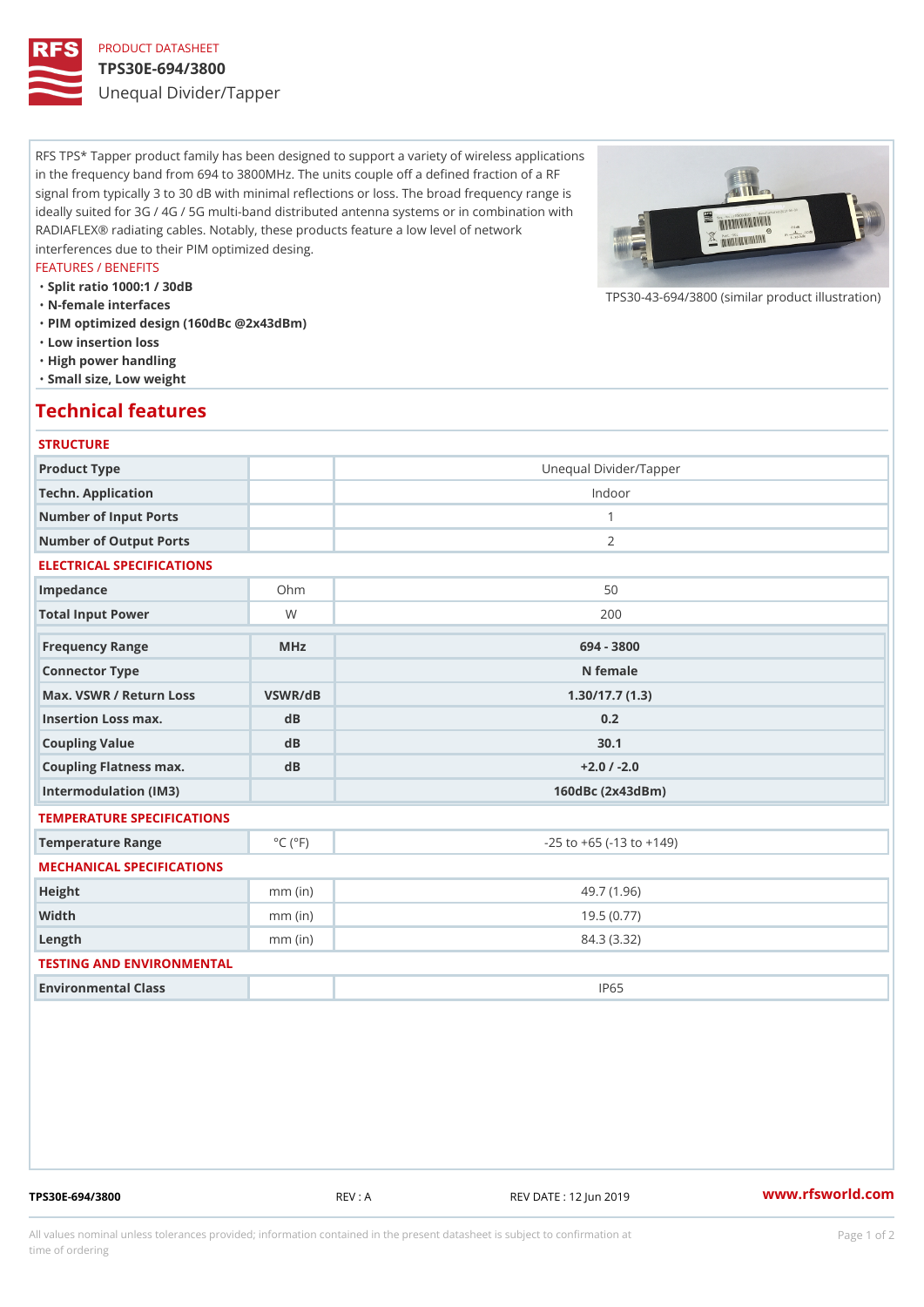## PRODUCT DATASHEET TPS30E-694/3800

Unequal Divider/Tapper

RFS TPS\* Tapper product family has been designed to support a variety of wireless applications in the frequency band from 694 to 3800MHz. The units couple off a defined fraction of a RF signal from typically 3 to 30 dB with minimal reflections or loss. The broad frequency range is ideally suited for 3G / 4G / 5G multi-band distributed antenna systems or in combination with RADIAFLEX® radiating cables. Notably, these products feature a low level of network interferences due to their PIM optimized desing.

### FEATURES / BENEFITS

- "Split ratio 1000:1 / 30dB
- "N-female interfaces
- "PIM optimized design (160dBc @2x43dBm)
- "Low insertion loss
- "High power handling
- "Small size, Low weight

### Technical features

### **STRUCTURE**

| Product Type                                     |                             | Unequal Divider/Tapper             |
|--------------------------------------------------|-----------------------------|------------------------------------|
| Techn. Application                               |                             | Indoor                             |
| Number of Input Ports                            |                             | $\mathbf{1}$                       |
| Number of Output Ports                           |                             | 2                                  |
| ELECTRICAL SPECIFICATIONS                        |                             |                                    |
| Impedance                                        | $Oh$ m                      | 50                                 |
| Total Input Power                                | W                           | 200                                |
| Frequency Range                                  | $M$ H z                     | 694 - 3800                         |
| Connector Type                                   |                             | N female                           |
| Max. VSWR / Return LossVSWR/dB<br>1.30/17.7(1.3) |                             |                                    |
| Insertion Loss max.                              | $d$ B                       | 0.2                                |
| Coupling Value                                   | dB                          | 30.1                               |
| Coupling Flatness max.                           | $d$ B                       | $+2.0$ / -2.0                      |
| Intermodulation (IM3)                            |                             | 160dBc (2x43dBm)                   |
| TEMPERATURE SPECIFICATIONS                       |                             |                                    |
| Temperature Range                                | $^{\circ}$ C ( $^{\circ}$ F | $-25$ to $+65$ ( $-13$ to $+149$ ) |
| MECHANICAL SPECIFICATIONS                        |                             |                                    |
| Height                                           | $mm$ (in)                   | 49.7(1.96)                         |
| Width                                            | $mm$ (in)                   | 19.5(0.77)                         |
| $L$ ength                                        | $mm$ (in)                   | 84.3 (3.32)                        |
| TESTING AND ENVIRONMENTAL                        |                             |                                    |
| Environmental Class                              |                             | IP65                               |

TPS30E-694/3800 REV : A REV DATE : 12 Jun 2019 [www.](https://www.rfsworld.com)rfsworld.com

 $TPS30-43-694/3800$  (similar product

All values nominal unless tolerances provided; information contained in the present datasheet is subject to Pcapgeign manation time of ordering